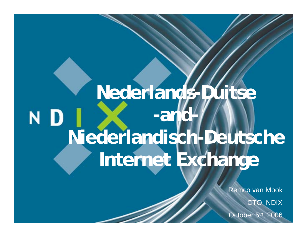## **Nederlands-Duitse -and-**N D **Niederlandisch-Deutsche Internet Exchange**

Remco van Mook CTO, NDIX October 5<sup>th</sup>, 2006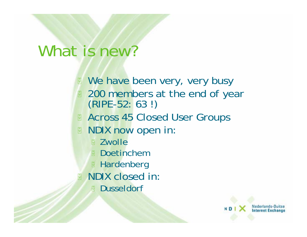### What is new?

**We have been very, very busy** 

- **200 members at the end of year** (RIPE-52: 63!)
- **Across 45 Closed User Groups**
- **B** NDIX now open in:
	- **E** Zwolle
	- **Doetinchem**
	- **E** Hardenberg
- **NDIX closed in:** 
	- **Dusseldorf**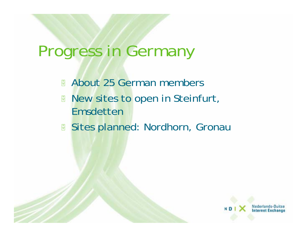## Progress in Germany

 $\frac{1}{\sqrt{2}}$ About 25 German members

- $\frac{1}{\sqrt{1-\frac{1}{2}}}$  New sites to open in Steinfurt, Emsdetten
- $\frac{1}{\sqrt{2}}$ Sites planned: Nordhorn, Gronau

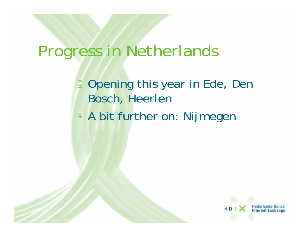### Progress in Netherlands

**B** Opening this year in Ede, Den Bosch, Heerlen **A bit further on: Nijmegen** 

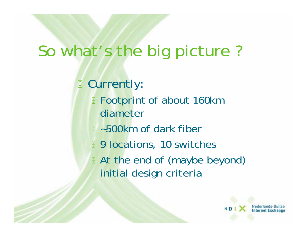# So what's the big picture ?

**B** Currently:

- **E** Footprint of about 160km diameter
- **E** ~500km of dark fiber
- **9 locations, 10 switches**
- **At the end of (maybe beyond)** initial design criteria

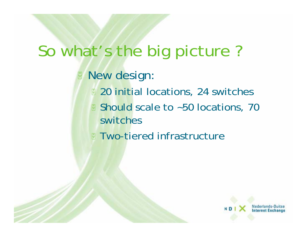## So what's the big picture ?

#### **B** New design:

- **20 initial locations, 24 switches**
- **Should scale to ~50 locations, 70** switches
- **Two-tiered infrastructure**

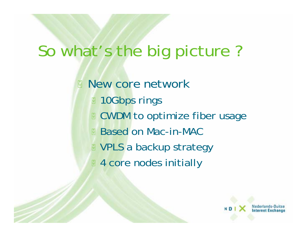## So what's the big picture ?

**New core network 10Gbps rings E** CWDM to optimize fiber usage Based on Mac-in-MAC **E** VPLS a backup strategy **4 core nodes initially**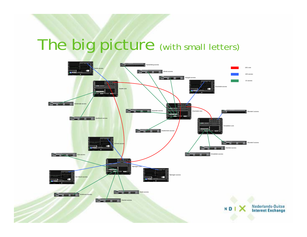# The big picture (with small letters)